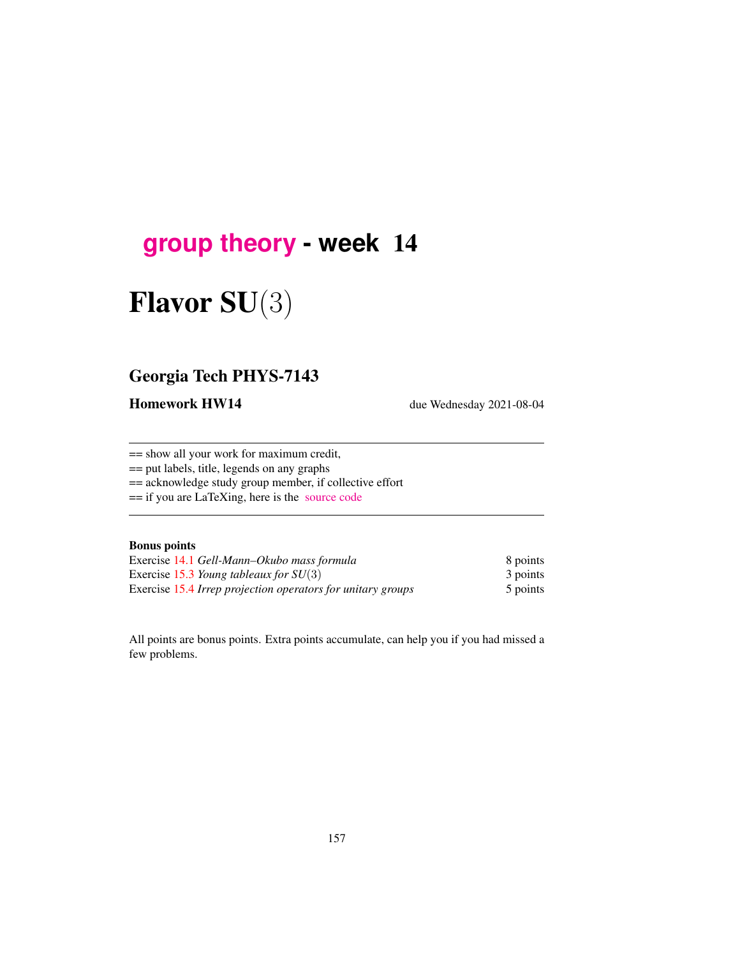# **[group theory](http://birdtracks.eu/course3/schedule.html) - week** 14

# Flavor SU(3)

### Georgia Tech PHYS-7143

Homework HW14 due Wednesday 2021-08-04

== show all your work for maximum credit,

== put labels, title, legends on any graphs

== acknowledge study group member, if collective effort

== if you are LaTeXing, here is the [source code](http://birdtracks.eu/course3/exerWeek14.tex)

#### Bonus points

Exercise [14.1](#page-2-0) *Gell-Mann–Okubo mass formula* 8 points Exercise 15.3 *Young tableaux for SU*(3) 3 points Exercise 15.4 *Irrep projection operators for unitary groups* 5 points

All points are bonus points. Extra points accumulate, can help you if you had missed a few problems.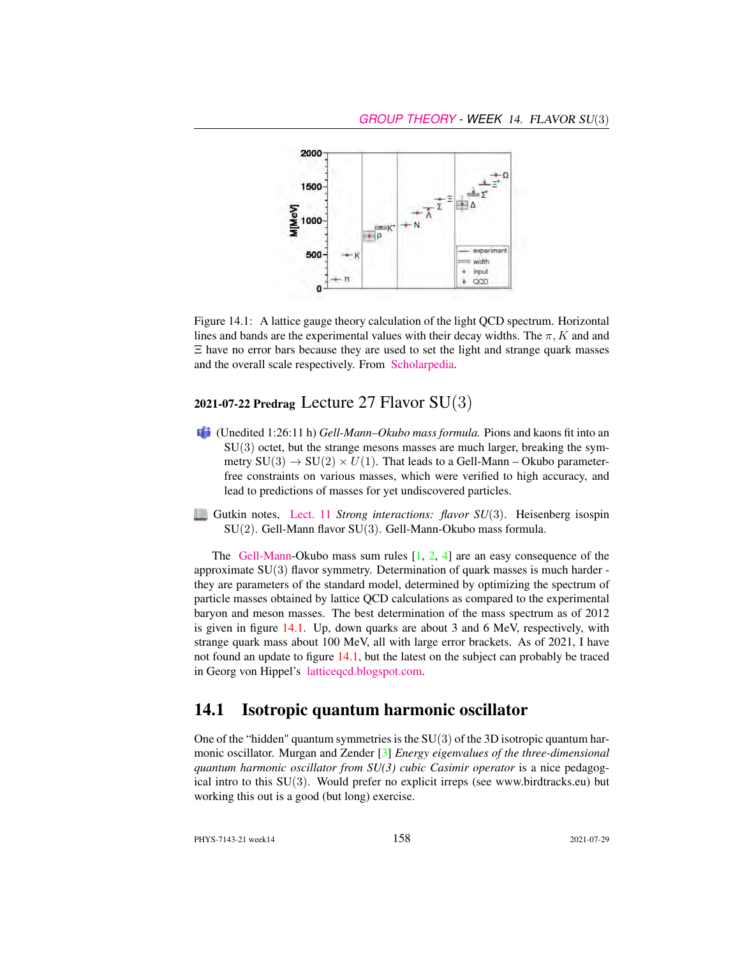

<span id="page-1-0"></span>Figure 14.1: A lattice gauge theory calculation of the light QCD spectrum. Horizontal lines and bands are the experimental values with their decay widths. The  $\pi$ , K and and Ξ have no error bars because they are used to set the light and strange quark masses and the overall scale respectively. From [Scholarpedia.](http://www.scholarpedia.org/article/Lattice_gauge_theories)

#### 2021-07-22 Predrag Lecture 27 Flavor  $SU(3)$

- (Unedited 1:26:11 h) *Gell-Mann–Okubo mass formula.* Pions and kaons fit into an  $SU(3)$  octet, but the strange mesons masses are much larger, breaking the symmetry  $SU(3) \rightarrow SU(2) \times U(1)$ . That leads to a Gell-Mann – Okubo parameterfree constraints on various masses, which were verified to high accuracy, and lead to predictions of masses for yet undiscovered particles.
- Gutkin notes, [Lect. 11](http://birdtracks.eu/course3/groups.pdf#chapter.11) *Strong interactions: flavor SU*(3). Heisenberg isospin SU(2). Gell-Mann flavor SU(3). Gell-Mann-Okubo mass formula.

The [Gell-Mann-](https://www.nytimes.com/2019/05/24/obituaries/murray-gell-mann-died-.html)Okubo mass sum rules  $\begin{bmatrix} 1, 2, 4 \end{bmatrix}$  $\begin{bmatrix} 1, 2, 4 \end{bmatrix}$  $\begin{bmatrix} 1, 2, 4 \end{bmatrix}$  are an easy consequence of the approximate SU(3) flavor symmetry. Determination of quark masses is much harder they are parameters of the standard model, determined by optimizing the spectrum of particle masses obtained by lattice QCD calculations as compared to the experimental baryon and meson masses. The best determination of the mass spectrum as of 2012 is given in figure [14.1.](#page-1-0) Up, down quarks are about 3 and 6 MeV, respectively, with strange quark mass about 100 MeV, all with large error brackets. As of 2021, I have not found an update to figure [14.1,](#page-1-0) but the latest on the subject can probably be traced in Georg von Hippel's [latticeqcd.blogspot.com.](http://latticeqcd.blogspot.com/)

#### 14.1 Isotropic quantum harmonic oscillator

One of the "hidden" quantum symmetries is the  $SU(3)$  of the 3D isotropic quantum harmonic oscillator. Murgan and Zender [\[3\]](#page-2-4) *Energy eigenvalues of the three-dimensional quantum harmonic oscillator from SU(3) cubic Casimir operator* is a nice pedagogical intro to this  $SU(3)$ . Would prefer no explicit irreps (see www.birdtracks.eu) but working this out is a good (but long) exercise.